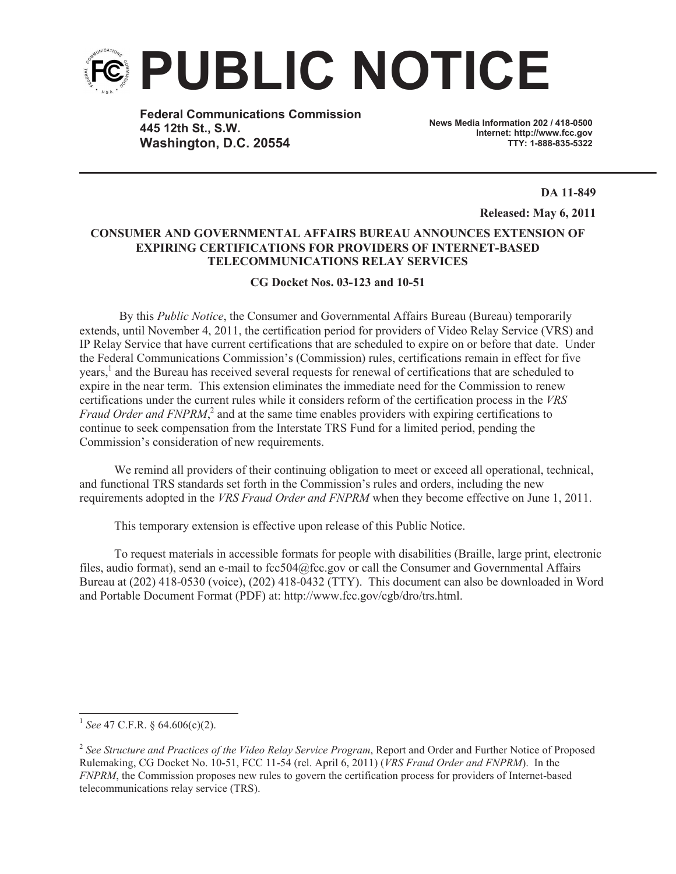

**Federal Communications Commission 445 12th St., S.W. Washington, D.C. 20554**

**News Media Information 202 / 418-0500 Internet: http://www.fcc.gov TTY: 1-888-835-5322**

**DA 11-849**

**Released: May 6, 2011**

## **CONSUMER AND GOVERNMENTAL AFFAIRS BUREAU ANNOUNCES EXTENSION OF EXPIRING CERTIFICATIONS FOR PROVIDERS OF INTERNET-BASED TELECOMMUNICATIONS RELAY SERVICES**

**CG Docket Nos. 03-123 and 10-51**

By this *Public Notice*, the Consumer and Governmental Affairs Bureau (Bureau) temporarily extends, until November 4, 2011, the certification period for providers of Video Relay Service (VRS) and IP Relay Service that have current certifications that are scheduled to expire on or before that date. Under the Federal Communications Commission's (Commission) rules, certifications remain in effect for five years,<sup>1</sup> and the Bureau has received several requests for renewal of certifications that are scheduled to expire in the near term. This extension eliminates the immediate need for the Commission to renew certifications under the current rules while it considers reform of the certification process in the *VRS Fraud Order and FNPRM*<sup>2</sup>, and at the same time enables providers with expiring certifications to continue to seek compensation from the Interstate TRS Fund for a limited period, pending the Commission's consideration of new requirements.

We remind all providers of their continuing obligation to meet or exceed all operational, technical, and functional TRS standards set forth in the Commission's rules and orders, including the new requirements adopted in the *VRS Fraud Order and FNPRM* when they become effective on June 1, 2011.

This temporary extension is effective upon release of this Public Notice.

To request materials in accessible formats for people with disabilities (Braille, large print, electronic files, audio format), send an e-mail to fcc504@fcc.gov or call the Consumer and Governmental Affairs Bureau at (202) 418-0530 (voice), (202) 418-0432 (TTY). This document can also be downloaded in Word and Portable Document Format (PDF) at: http://www.fcc.gov/cgb/dro/trs.html.

<sup>1</sup> *See* 47 C.F.R. § 64.606(c)(2).

<sup>2</sup> *See Structure and Practices of the Video Relay Service Program*, Report and Order and Further Notice of Proposed Rulemaking, CG Docket No. 10-51, FCC 11-54 (rel. April 6, 2011) (*VRS Fraud Order and FNPRM*). In the *FNPRM*, the Commission proposes new rules to govern the certification process for providers of Internet-based telecommunications relay service (TRS).